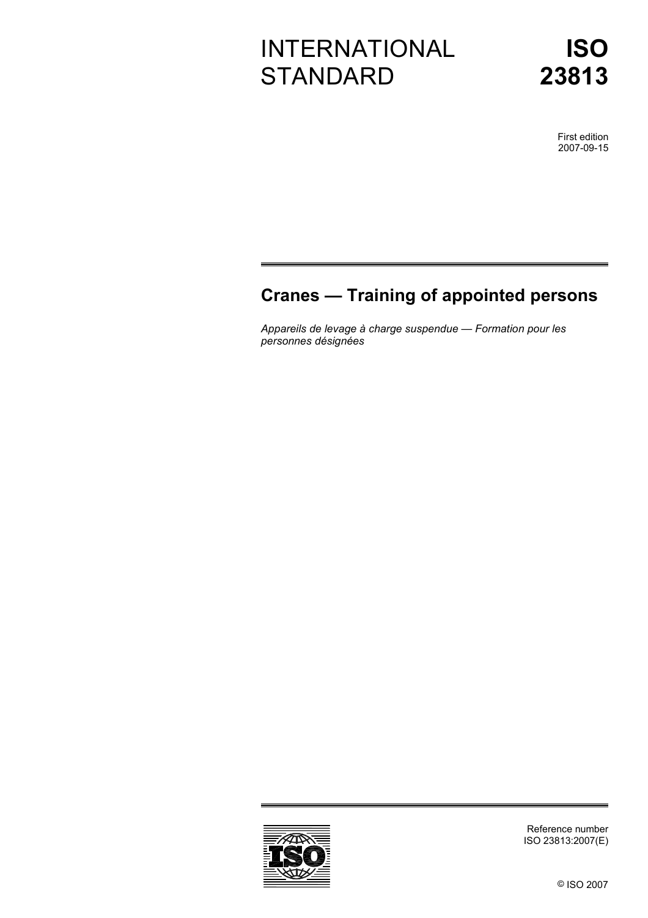# INTERNATIONAL **STANDARD**

**ISO 23813**

> First edition 2007-09-15

## **Cranes — Training of appointed persons**

*Appareils de levage à charge suspendue — Formation pour les personnes désignées* 



Reference number ISO 23813:2007(E)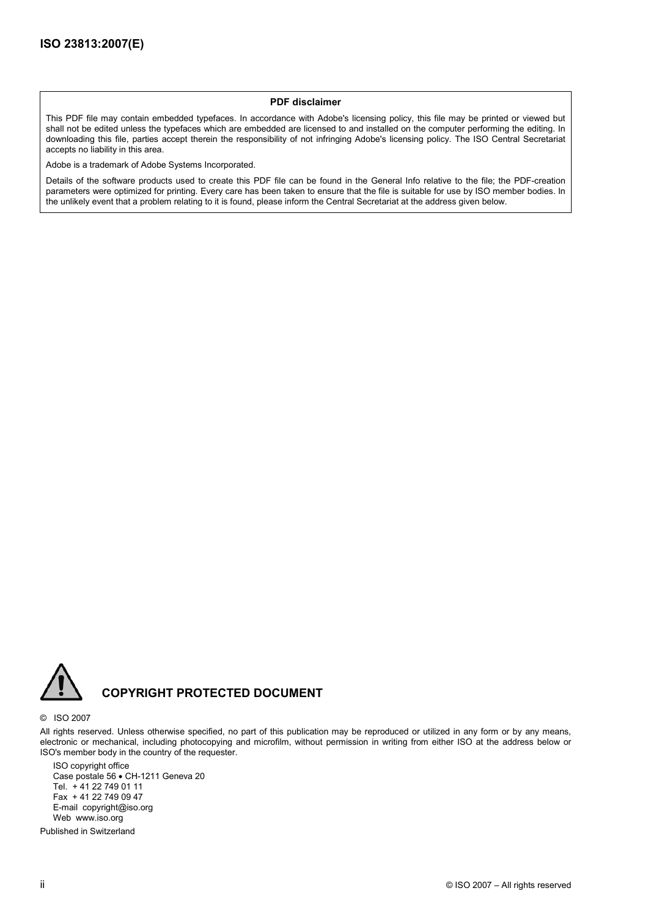#### **PDF disclaimer**

This PDF file may contain embedded typefaces. In accordance with Adobe's licensing policy, this file may be printed or viewed but shall not be edited unless the typefaces which are embedded are licensed to and installed on the computer performing the editing. In downloading this file, parties accept therein the responsibility of not infringing Adobe's licensing policy. The ISO Central Secretariat accepts no liability in this area.

Adobe is a trademark of Adobe Systems Incorporated.

Details of the software products used to create this PDF file can be found in the General Info relative to the file; the PDF-creation parameters were optimized for printing. Every care has been taken to ensure that the file is suitable for use by ISO member bodies. In the unlikely event that a problem relating to it is found, please inform the Central Secretariat at the address given below.



### **COPYRIGHT PROTECTED DOCUMENT**

#### © ISO 2007

All rights reserved. Unless otherwise specified, no part of this publication may be reproduced or utilized in any form or by any means, electronic or mechanical, including photocopying and microfilm, without permission in writing from either ISO at the address below or ISO's member body in the country of the requester.

ISO copyright office Case postale 56 • CH-1211 Geneva 20 Tel. + 41 22 749 01 11 Fax + 41 22 749 09 47 E-mail copyright@iso.org Web www.iso.org

Published in Switzerland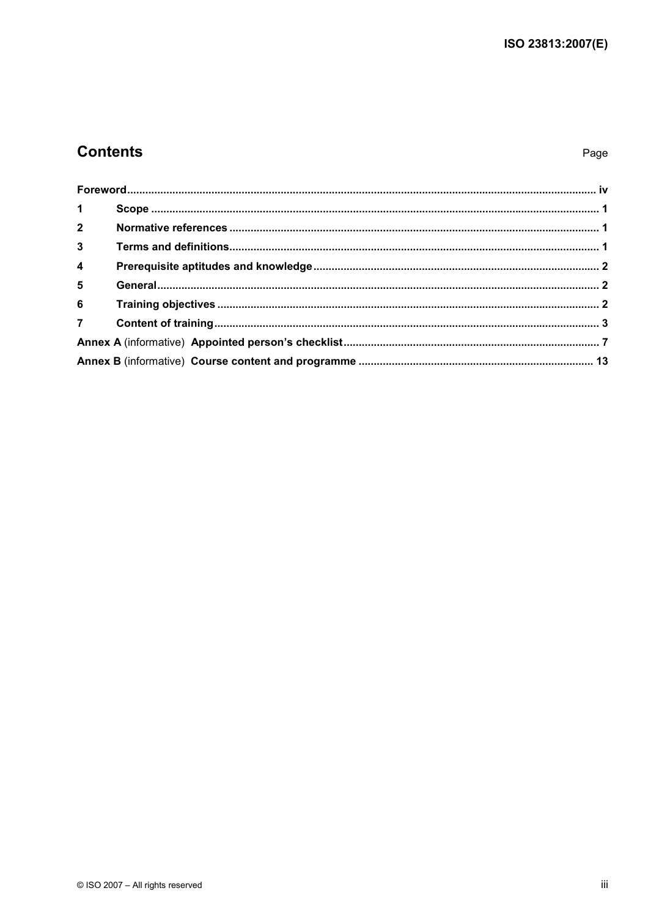### **Contents**

### Page

| $1 \quad \blacksquare$  |  |
|-------------------------|--|
|                         |  |
| 3 <sup>1</sup>          |  |
| $\overline{\mathbf{4}}$ |  |
| 5 <sup>1</sup>          |  |
|                         |  |
|                         |  |
|                         |  |
|                         |  |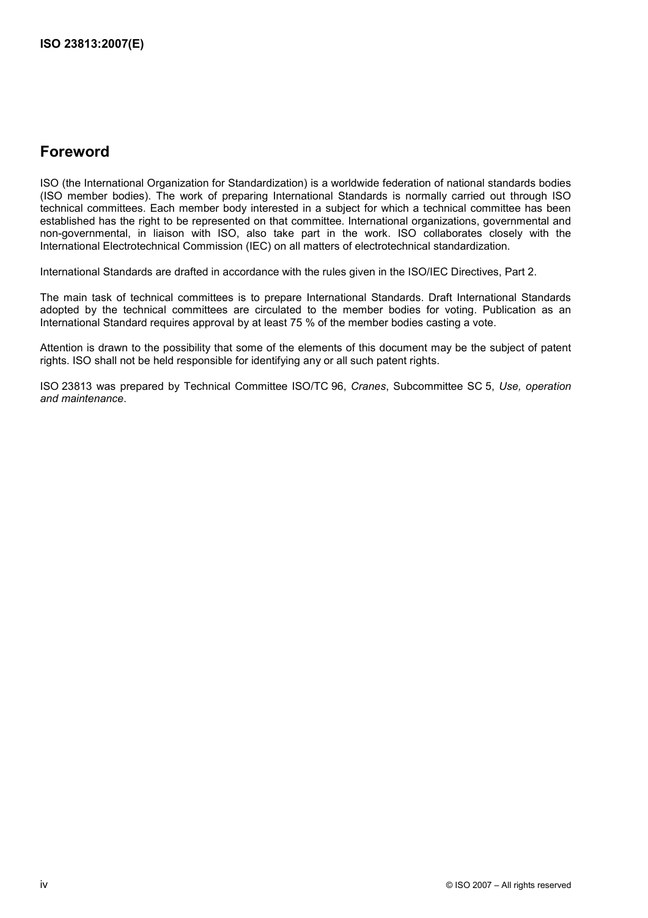### **Foreword**

ISO (the International Organization for Standardization) is a worldwide federation of national standards bodies (ISO member bodies). The work of preparing International Standards is normally carried out through ISO technical committees. Each member body interested in a subject for which a technical committee has been established has the right to be represented on that committee. International organizations, governmental and non-governmental, in liaison with ISO, also take part in the work. ISO collaborates closely with the International Electrotechnical Commission (IEC) on all matters of electrotechnical standardization.

International Standards are drafted in accordance with the rules given in the ISO/IEC Directives, Part 2.

The main task of technical committees is to prepare International Standards. Draft International Standards adopted by the technical committees are circulated to the member bodies for voting. Publication as an International Standard requires approval by at least 75 % of the member bodies casting a vote.

Attention is drawn to the possibility that some of the elements of this document may be the subject of patent rights. ISO shall not be held responsible for identifying any or all such patent rights.

ISO 23813 was prepared by Technical Committee ISO/TC 96, *Cranes*, Subcommittee SC 5, *Use, operation and maintenance*.